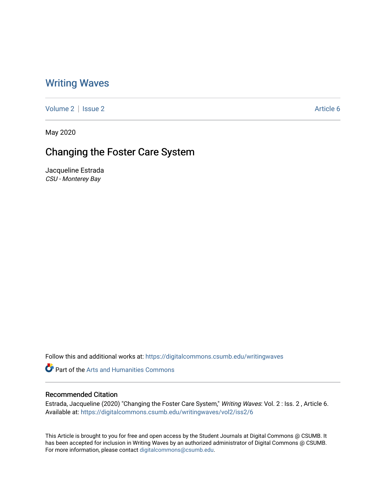### [Writing Waves](https://digitalcommons.csumb.edu/writingwaves)

[Volume 2](https://digitalcommons.csumb.edu/writingwaves/vol2) | [Issue 2](https://digitalcommons.csumb.edu/writingwaves/vol2/iss2) Article 6

May 2020

# Changing the Foster Care System

Jacqueline Estrada CSU - Monterey Bay

Follow this and additional works at: [https://digitalcommons.csumb.edu/writingwaves](https://digitalcommons.csumb.edu/writingwaves?utm_source=digitalcommons.csumb.edu%2Fwritingwaves%2Fvol2%2Fiss2%2F6&utm_medium=PDF&utm_campaign=PDFCoverPages) 

Part of the [Arts and Humanities Commons](http://network.bepress.com/hgg/discipline/438?utm_source=digitalcommons.csumb.edu%2Fwritingwaves%2Fvol2%2Fiss2%2F6&utm_medium=PDF&utm_campaign=PDFCoverPages) 

#### Recommended Citation

Estrada, Jacqueline (2020) "Changing the Foster Care System," Writing Waves: Vol. 2 : Iss. 2, Article 6. Available at: [https://digitalcommons.csumb.edu/writingwaves/vol2/iss2/6](https://digitalcommons.csumb.edu/writingwaves/vol2/iss2/6?utm_source=digitalcommons.csumb.edu%2Fwritingwaves%2Fvol2%2Fiss2%2F6&utm_medium=PDF&utm_campaign=PDFCoverPages) 

This Article is brought to you for free and open access by the Student Journals at Digital Commons @ CSUMB. It has been accepted for inclusion in Writing Waves by an authorized administrator of Digital Commons @ CSUMB. For more information, please contact [digitalcommons@csumb.edu](mailto:digitalcommons@csumb.edu).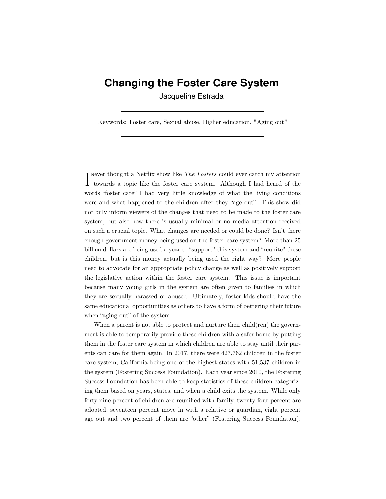## **Changing the Foster Care System**

Jacqueline Estrada

Keywords: Foster care, Sexual abuse, Higher education, "Aging out"

Never thought a Netflix show like *The Fosters* could ever catch my attention towards a topic like the foster care system. Although I had heard of the **T** Never thought a Netflix show like *The Fosters* could ever catch my attention words "foster care" I had very little knowledge of what the living conditions were and what happened to the children after they "age out". This show did not only inform viewers of the changes that need to be made to the foster care system, but also how there is usually minimal or no media attention received on such a crucial topic. What changes are needed or could be done? Isn't there enough government money being used on the foster care system? More than 25 billion dollars are being used a year to "support" this system and "reunite" these children, but is this money actually being used the right way? More people need to advocate for an appropriate policy change as well as positively support the legislative action within the foster care system. This issue is important because many young girls in the system are often given to families in which they are sexually harassed or abused. Ultimately, foster kids should have the same educational opportunities as others to have a form of bettering their future when "aging out" of the system.

When a parent is not able to protect and nurture their child(ren) the government is able to temporarily provide these children with a safer home by putting them in the foster care system in which children are able to stay until their parents can care for them again. In 2017, there were 427,762 children in the foster care system, California being one of the highest states with 51,537 children in the system (Fostering Success Foundation). Each year since 2010, the Fostering Success Foundation has been able to keep statistics of these children categorizing them based on years, states, and when a child exits the system. While only forty-nine percent of children are reunified with family, twenty-four percent are adopted, seventeen percent move in with a relative or guardian, eight percent age out and two percent of them are "other" (Fostering Success Foundation).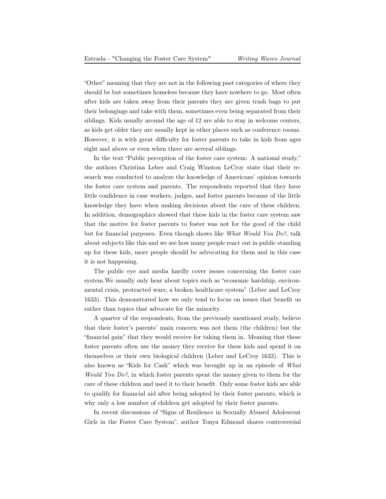"Other" meaning that they are not in the following past categories of where they should be but sometimes homeless because they have nowhere to go. Most often after kids are taken away from their parents they are given trash bags to put their belongings and take with them, sometimes even being separated from their siblings. Kids usually around the age of 12 are able to stay in welcome centers, as kids get older they are usually kept in other places such as conference rooms. However, it is with great difficulty for foster parents to take in kids from ages eight and above or even when there are several siblings.

In the text "Public perception of the foster care system: A national study," the authors Christina Leber and Craig Winston LeCroy state that their research was conducted to analyze the knowledge of Americans' opinion towards the foster care system and parents. The respondents reported that they have little confidence in case workers, judges, and foster parents because of the little knowledge they have when making decisions about the care of these children. In addition, demographics showed that these kids in the foster care system saw that the motive for foster parents to foster was not for the good of the child but for financial purposes. Even though shows like What Would You Do?, talk about subjects like this and we see how many people react out in public standing up for these kids, more people should be advocating for them and in this case it is not happening.

The public eye and media hardly cover issues concerning the foster care [system.We](https://system.We) usually only hear about topics such as "economic hardship, environmental crisis, protracted wars, a broken healthcare system" (Leber and LeCroy 1633). This demonstrated how we only tend to focus on issues that benefit us rather than topics that advocate for the minority.

A quarter of the respondents, from the previously mentioned study, believe that their foster's parents' main concern was not them (the children) but the "financial gain" that they would receive for taking them in. Meaning that these foster parents often use the money they receive for these kids and spend it on themselves or their own biological children (Leber and LeCroy 1633). This is also known as "Kids for Cash" which was brought up in an episode of What Would You Do?, in which foster parents spent the money given to them for the care of these children and used it to their benefit. Only some foster kids are able to qualify for financial aid after being adopted by their foster parents, which is why only a low number of children get adopted by their foster parents.

In recent discussions of "Signs of Resilience in Sexually Abused Adolescent Girls in the Foster Care System", author Tonya Edmond shares controversial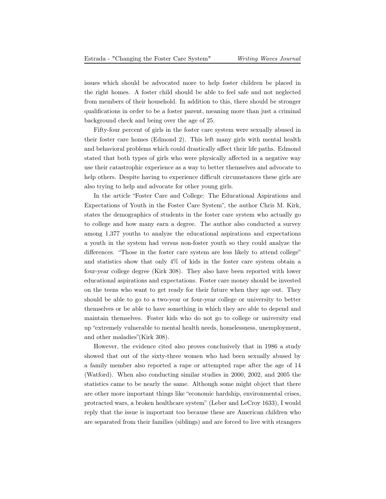issues which should be advocated more to help foster children be placed in the right homes. A foster child should be able to feel safe and not neglected from members of their household. In addition to this, there should be stronger qualifications in order to be a foster parent, meaning more than just a criminal background check and being over the age of 25.

Fifty-four percent of girls in the foster care system were sexually abused in their foster care homes (Edmond 2). This left many girls with mental health and behavioral problems which could drastically affect their life paths. Edmond stated that both types of girls who were physically affected in a negative way use their catastrophic experience as a way to better themselves and advocate to help others. Despite having to experience difficult circumstances these girls are also trying to help and advocate for other young girls.

In the article "Foster Care and College: The Educational Aspirations and Expectations of Youth in the Foster Care System", the author Chris M. Kirk, states the demographics of students in the foster care system who actually go to college and how many earn a degree. The author also conducted a survey among 1,377 youths to analyze the educational aspirations and expectations a youth in the system had versus non-foster youth so they could analyze the differences. "Those in the foster care system are less likely to attend college" and statistics show that only 4% of kids in the foster care system obtain a four-year college degree (Kirk 308). They also have been reported with lower educational aspirations and expectations. Foster care money should be invested on the teens who want to get ready for their future when they age out. They should be able to go to a two-year or four-year college or university to better themselves or be able to have something in which they are able to depend and maintain themselves. Foster kids who do not go to college or university end up "extremely vulnerable to mental health needs, homelessness, unemployment, and other maladies"(Kirk 308).

However, the evidence cited also proves conclusively that in 1986 a study showed that out of the sixty-three women who had been sexually abused by a family member also reported a rape or attempted rape after the age of 14 (Watford). When also conducting similar studies in 2000, 2002, and 2005 the statistics came to be nearly the same. Although some might object that there are other more important things like "economic hardship, environmental crises, protracted wars, a broken healthcare system" (Leber and LeCroy 1633), I would reply that the issue is important too because these are American children who are separated from their families (siblings) and are forced to live with strangers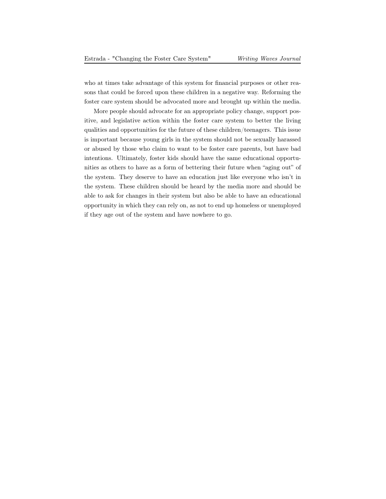who at times take advantage of this system for financial purposes or other reasons that could be forced upon these children in a negative way. Reforming the foster care system should be advocated more and brought up within the media.

More people should advocate for an appropriate policy change, support positive, and legislative action within the foster care system to better the living qualities and opportunities for the future of these children/teenagers. This issue is important because young girls in the system should not be sexually harassed or abused by those who claim to want to be foster care parents, but have bad intentions. Ultimately, foster kids should have the same educational opportunities as others to have as a form of bettering their future when "aging out" of the system. They deserve to have an education just like everyone who isn't in the system. These children should be heard by the media more and should be able to ask for changes in their system but also be able to have an educational opportunity in which they can rely on, as not to end up homeless or unemployed if they age out of the system and have nowhere to go.